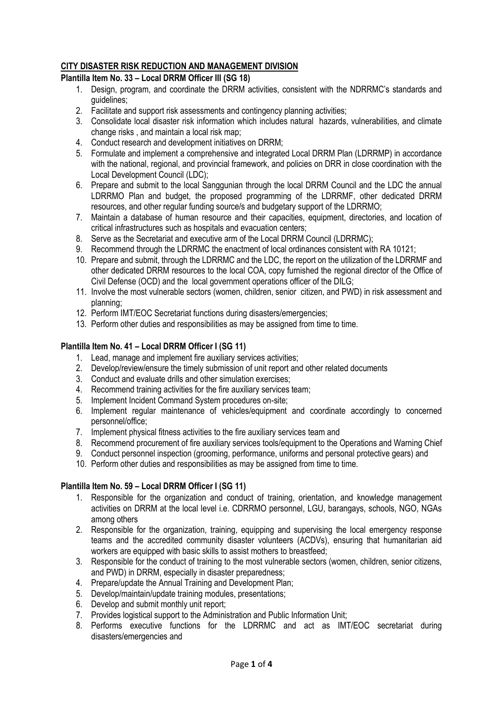### **CITY DISASTER RISK REDUCTION AND MANAGEMENT DIVISION**

### **Plantilla Item No. 33 – Local DRRM Officer III (SG 18)**

- 1. Design, program, and coordinate the DRRM activities, consistent with the NDRRMC's standards and guidelines;
- 2. Facilitate and support risk assessments and contingency planning activities;
- 3. Consolidate local disaster risk information which includes natural hazards, vulnerabilities, and climate change risks , and maintain a local risk map;
- 4. Conduct research and development initiatives on DRRM;
- 5. Formulate and implement a comprehensive and integrated Local DRRM Plan (LDRRMP) in accordance with the national, regional, and provincial framework, and policies on DRR in close coordination with the Local Development Council (LDC);
- 6. Prepare and submit to the local Sanggunian through the local DRRM Council and the LDC the annual LDRRMO Plan and budget, the proposed programming of the LDRRMF, other dedicated DRRM resources, and other regular funding source/s and budgetary support of the LDRRMO;
- 7. Maintain a database of human resource and their capacities, equipment, directories, and location of critical infrastructures such as hospitals and evacuation centers;
- 8. Serve as the Secretariat and executive arm of the Local DRRM Council (LDRRMC);
- 9. Recommend through the LDRRMC the enactment of local ordinances consistent with RA 10121;
- 10. Prepare and submit, through the LDRRMC and the LDC, the report on the utilization of the LDRRMF and other dedicated DRRM resources to the local COA, copy furnished the regional director of the Office of Civil Defense (OCD) and the local government operations officer of the DILG;
- 11. Involve the most vulnerable sectors (women, children, senior citizen, and PWD) in risk assessment and planning;
- 12. Perform IMT/EOC Secretariat functions during disasters/emergencies;
- 13. Perform other duties and responsibilities as may be assigned from time to time.

### **Plantilla Item No. 41 – Local DRRM Officer I (SG 11)**

- 1. Lead, manage and implement fire auxiliary services activities;
- 2. Develop/review/ensure the timely submission of unit report and other related documents
- 3. Conduct and evaluate drills and other simulation exercises;
- 4. Recommend training activities for the fire auxiliary services team;
- 5. Implement Incident Command System procedures on-site;
- 6. Implement regular maintenance of vehicles/equipment and coordinate accordingly to concerned personnel/office;
- 7. Implement physical fitness activities to the fire auxiliary services team and
- 8. Recommend procurement of fire auxiliary services tools/equipment to the Operations and Warning Chief
- 9. Conduct personnel inspection (grooming, performance, uniforms and personal protective gears) and
- 10. Perform other duties and responsibilities as may be assigned from time to time.

### **Plantilla Item No. 59 – Local DRRM Officer I (SG 11)**

- 1. Responsible for the organization and conduct of training, orientation, and knowledge management activities on DRRM at the local level i.e. CDRRMO personnel, LGU, barangays, schools, NGO, NGAs among others
- 2. Responsible for the organization, training, equipping and supervising the local emergency response teams and the accredited community disaster volunteers (ACDVs), ensuring that humanitarian aid workers are equipped with basic skills to assist mothers to breastfeed;
- 3. Responsible for the conduct of training to the most vulnerable sectors (women, children, senior citizens, and PWD) in DRRM, especially in disaster preparedness;
- 4. Prepare/update the Annual Training and Development Plan;
- 5. Develop/maintain/update training modules, presentations;
- 6. Develop and submit monthly unit report;
- 7. Provides logistical support to the Administration and Public Information Unit;
- 8. Performs executive functions for the LDRRMC and act as IMT/EOC secretariat during disasters/emergencies and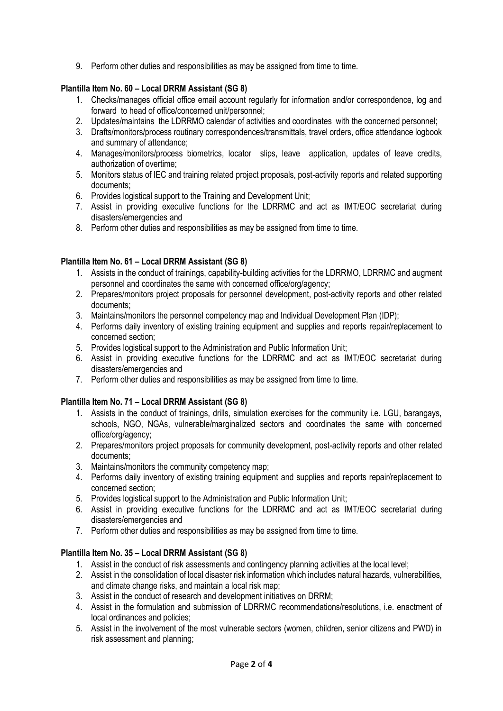9. Perform other duties and responsibilities as may be assigned from time to time.

# **Plantilla Item No. 60 – Local DRRM Assistant (SG 8)**

- 1. Checks/manages official office email account regularly for information and/or correspondence, log and forward to head of office/concerned unit/personnel;
- 2. Updates/maintains the LDRRMO calendar of activities and coordinates with the concerned personnel;
- 3. Drafts/monitors/process routinary correspondences/transmittals, travel orders, office attendance logbook and summary of attendance;
- 4. Manages/monitors/process biometrics, locator slips, leave application, updates of leave credits, authorization of overtime;
- 5. Monitors status of IEC and training related project proposals, post-activity reports and related supporting documents;
- 6. Provides logistical support to the Training and Development Unit;
- 7. Assist in providing executive functions for the LDRRMC and act as IMT/EOC secretariat during disasters/emergencies and
- 8. Perform other duties and responsibilities as may be assigned from time to time.

# **Plantilla Item No. 61 – Local DRRM Assistant (SG 8)**

- 1. Assists in the conduct of trainings, capability-building activities for the LDRRMO, LDRRMC and augment personnel and coordinates the same with concerned office/org/agency;
- 2. Prepares/monitors project proposals for personnel development, post-activity reports and other related documents;
- 3. Maintains/monitors the personnel competency map and Individual Development Plan (IDP);
- 4. Performs daily inventory of existing training equipment and supplies and reports repair/replacement to concerned section;
- 5. Provides logistical support to the Administration and Public Information Unit;
- 6. Assist in providing executive functions for the LDRRMC and act as IMT/EOC secretariat during disasters/emergencies and
- 7. Perform other duties and responsibilities as may be assigned from time to time.

# **Plantilla Item No. 71 – Local DRRM Assistant (SG 8)**

- 1. Assists in the conduct of trainings, drills, simulation exercises for the community i.e. LGU, barangays, schools, NGO, NGAs, vulnerable/marginalized sectors and coordinates the same with concerned office/org/agency;
- 2. Prepares/monitors project proposals for community development, post-activity reports and other related documents;
- 3. Maintains/monitors the community competency map;
- 4. Performs daily inventory of existing training equipment and supplies and reports repair/replacement to concerned section;
- 5. Provides logistical support to the Administration and Public Information Unit;
- 6. Assist in providing executive functions for the LDRRMC and act as IMT/EOC secretariat during disasters/emergencies and
- 7. Perform other duties and responsibilities as may be assigned from time to time.

# **Plantilla Item No. 35 – Local DRRM Assistant (SG 8)**

- 1. Assist in the conduct of risk assessments and contingency planning activities at the local level;
- 2. Assist in the consolidation of local disaster risk information which includes natural hazards, vulnerabilities, and climate change risks, and maintain a local risk map;
- 3. Assist in the conduct of research and development initiatives on DRRM;
- 4. Assist in the formulation and submission of LDRRMC recommendations/resolutions, i.e. enactment of local ordinances and policies;
- 5. Assist in the involvement of the most vulnerable sectors (women, children, senior citizens and PWD) in risk assessment and planning;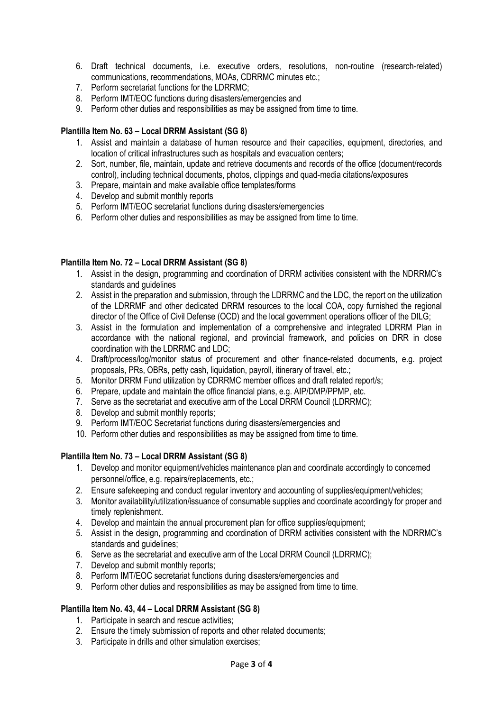- 6. Draft technical documents, i.e. executive orders, resolutions, non-routine (research-related) communications, recommendations, MOAs, CDRRMC minutes etc.;
- 7. Perform secretariat functions for the LDRRMC;
- 8. Perform IMT/EOC functions during disasters/emergencies and
- 9. Perform other duties and responsibilities as may be assigned from time to time.

### **Plantilla Item No. 63 – Local DRRM Assistant (SG 8)**

- 1. Assist and maintain a database of human resource and their capacities, equipment, directories, and location of critical infrastructures such as hospitals and evacuation centers;
- 2. Sort, number, file, maintain, update and retrieve documents and records of the office (document/records control), including technical documents, photos, clippings and quad-media citations/exposures
- 3. Prepare, maintain and make available office templates/forms
- 4. Develop and submit monthly reports
- 5. Perform IMT/EOC secretariat functions during disasters/emergencies
- 6. Perform other duties and responsibilities as may be assigned from time to time.

### **Plantilla Item No. 72 – Local DRRM Assistant (SG 8)**

- 1. Assist in the design, programming and coordination of DRRM activities consistent with the NDRRMC's standards and guidelines
- 2. Assist in the preparation and submission, through the LDRRMC and the LDC, the report on the utilization of the LDRRMF and other dedicated DRRM resources to the local COA, copy furnished the regional director of the Office of Civil Defense (OCD) and the local government operations officer of the DILG;
- 3. Assist in the formulation and implementation of a comprehensive and integrated LDRRM Plan in accordance with the national regional, and provincial framework, and policies on DRR in close coordination with the LDRRMC and LDC;
- 4. Draft/process/log/monitor status of procurement and other finance-related documents, e.g. project proposals, PRs, OBRs, petty cash, liquidation, payroll, itinerary of travel, etc.;
- 5. Monitor DRRM Fund utilization by CDRRMC member offices and draft related report/s;
- 6. Prepare, update and maintain the office financial plans, e.g. AIP/DMP/PPMP, etc.
- 7. Serve as the secretariat and executive arm of the Local DRRM Council (LDRRMC);
- 8. Develop and submit monthly reports;
- 9. Perform IMT/EOC Secretariat functions during disasters/emergencies and
- 10. Perform other duties and responsibilities as may be assigned from time to time.

### **Plantilla Item No. 73 – Local DRRM Assistant (SG 8)**

- 1. Develop and monitor equipment/vehicles maintenance plan and coordinate accordingly to concerned personnel/office, e.g. repairs/replacements, etc.;
- 2. Ensure safekeeping and conduct regular inventory and accounting of supplies/equipment/vehicles;
- 3. Monitor availability/utilization/issuance of consumable supplies and coordinate accordingly for proper and timely replenishment.
- 4. Develop and maintain the annual procurement plan for office supplies/equipment;
- 5. Assist in the design, programming and coordination of DRRM activities consistent with the NDRRMC's standards and guidelines;
- 6. Serve as the secretariat and executive arm of the Local DRRM Council (LDRRMC);
- 7. Develop and submit monthly reports;
- 8. Perform IMT/EOC secretariat functions during disasters/emergencies and
- 9. Perform other duties and responsibilities as may be assigned from time to time.

### **Plantilla Item No. 43, 44 – Local DRRM Assistant (SG 8)**

- 1. Participate in search and rescue activities;
- 2. Ensure the timely submission of reports and other related documents;
- 3. Participate in drills and other simulation exercises;